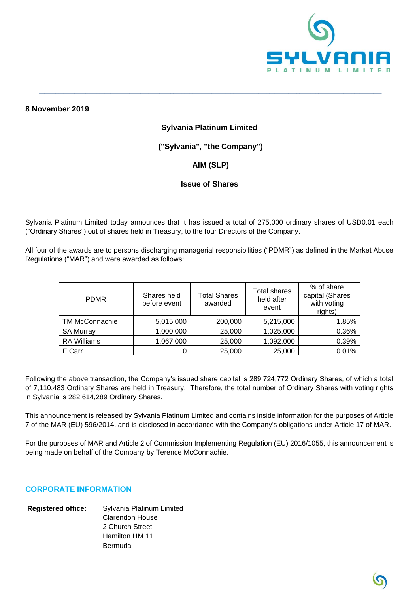

## **8 November 2019**

### **Sylvania Platinum Limited**

**\_\_\_\_\_\_\_\_\_\_\_\_\_\_\_\_\_\_\_\_\_\_\_\_\_\_\_\_\_\_\_\_\_\_\_\_\_\_\_\_\_\_\_\_\_\_\_\_\_\_\_\_\_\_\_\_\_\_\_\_\_\_\_\_\_\_\_\_\_\_\_\_\_\_\_\_\_\_\_\_\_\_\_\_\_\_\_\_\_\_\_\_\_\_\_\_\_\_\_\_\_\_\_\_\_\_\_\_\_\_\_\_\_\_\_\_\_\_\_\_\_\_\_\_\_**

# **("Sylvania", "the Company")**

# **AIM (SLP)**

## **Issue of Shares**

Sylvania Platinum Limited today announces that it has issued a total of 275,000 ordinary shares of USD0.01 each ("Ordinary Shares") out of shares held in Treasury, to the four Directors of the Company.

All four of the awards are to persons discharging managerial responsibilities ("PDMR") as defined in the Market Abuse Regulations ("MAR") and were awarded as follows:

| <b>PDMR</b>        | Shares held<br>before event | <b>Total Shares</b><br>awarded | Total shares<br>held after<br>event | % of share<br>capital (Shares<br>with voting<br>rights) |
|--------------------|-----------------------------|--------------------------------|-------------------------------------|---------------------------------------------------------|
| TM McConnachie     | 5,015,000                   | 200,000                        | 5,215,000                           | 1.85%                                                   |
| <b>SA Murray</b>   | 1,000,000                   | 25,000                         | 1,025,000                           | 0.36%                                                   |
| <b>RA Williams</b> | 1,067,000                   | 25,000                         | 1,092,000                           | 0.39%                                                   |
| E Carr             |                             | 25,000                         | 25,000                              | 0.01%                                                   |

Following the above transaction, the Company's issued share capital is 289,724,772 Ordinary Shares, of which a total of 7,110,483 Ordinary Shares are held in Treasury. Therefore, the total number of Ordinary Shares with voting rights in Sylvania is 282,614,289 Ordinary Shares.

This announcement is released by Sylvania Platinum Limited and contains inside information for the purposes of Article 7 of the MAR (EU) 596/2014, and is disclosed in accordance with the Company's obligations under Article 17 of MAR.

For the purposes of MAR and Article 2 of Commission Implementing Regulation (EU) 2016/1055, this announcement is being made on behalf of the Company by Terence McConnachie.

# **CORPORATE INFORMATION**

#### **Registered office:** Sylvania Platinum Limited Clarendon House 2 Church Street Hamilton HM 11 Bermuda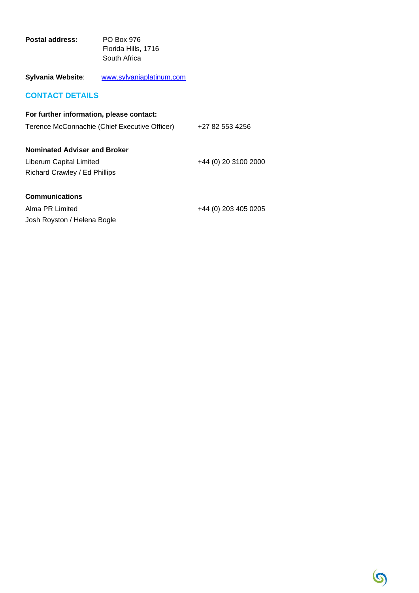| Postal address: | PO Box 976          |
|-----------------|---------------------|
|                 | Florida Hills, 1716 |
|                 | South Africa        |

# **Sylvania Website**: [www.sylvaniaplatinum.com](http://www.sylvaniaplatinum.com/)

# **CONTACT DETAILS**

| For further information, please contact:      |                      |
|-----------------------------------------------|----------------------|
| Terence McConnachie (Chief Executive Officer) | +27 82 553 4256      |
| <b>Nominated Adviser and Broker</b>           |                      |
| Liberum Capital Limited                       | +44 (0) 20 3100 2000 |
| Richard Crawley / Ed Phillips                 |                      |
| <b>Communications</b>                         |                      |
| Alma PR Limited                               | +44 (0) 203 405 0205 |
| Josh Royston / Helena Bogle                   |                      |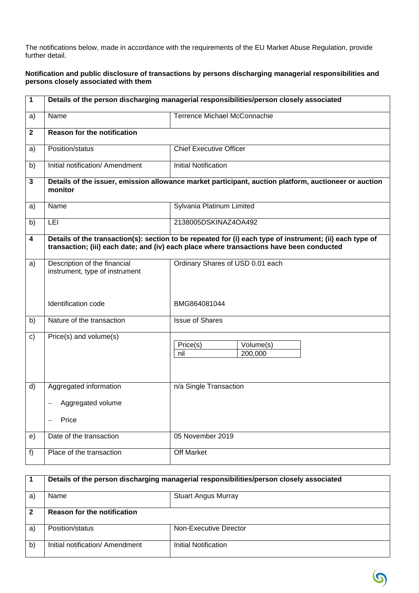The notifications below, made in accordance with the requirements of the EU Market Abuse Regulation, provide further detail.

#### **Notification and public disclosure of transactions by persons discharging managerial responsibilities and persons closely associated with them**

| $\mathbf 1$  | Details of the person discharging managerial responsibilities/person closely associated                          |                                                                                                                                                                                                      |  |
|--------------|------------------------------------------------------------------------------------------------------------------|------------------------------------------------------------------------------------------------------------------------------------------------------------------------------------------------------|--|
| a)           | Name                                                                                                             | Terrence Michael McConnachie                                                                                                                                                                         |  |
| $\mathbf 2$  | <b>Reason for the notification</b>                                                                               |                                                                                                                                                                                                      |  |
| a)           | Position/status                                                                                                  | <b>Chief Executive Officer</b>                                                                                                                                                                       |  |
| b)           | Initial notification/ Amendment                                                                                  | <b>Initial Notification</b>                                                                                                                                                                          |  |
| $\mathbf{3}$ | Details of the issuer, emission allowance market participant, auction platform, auctioneer or auction<br>monitor |                                                                                                                                                                                                      |  |
| a)           | Name                                                                                                             | Sylvania Platinum Limited                                                                                                                                                                            |  |
| b)           | LEI                                                                                                              | 2138005DSKINAZ4OA492                                                                                                                                                                                 |  |
| 4            |                                                                                                                  | Details of the transaction(s): section to be repeated for (i) each type of instrument; (ii) each type of<br>transaction; (iii) each date; and (iv) each place where transactions have been conducted |  |
| a)           | Description of the financial<br>instrument, type of instrument                                                   | Ordinary Shares of USD 0.01 each                                                                                                                                                                     |  |
|              | Identification code                                                                                              | BMG864081044                                                                                                                                                                                         |  |
| b)           | Nature of the transaction                                                                                        | <b>Issue of Shares</b>                                                                                                                                                                               |  |
| C)           | Price(s) and volume(s)                                                                                           | Price(s)<br>Volume(s)<br>200,000<br>nil                                                                                                                                                              |  |
| d)           | Aggregated information                                                                                           | n/a Single Transaction                                                                                                                                                                               |  |
|              | Aggregated volume                                                                                                |                                                                                                                                                                                                      |  |
|              | Price                                                                                                            |                                                                                                                                                                                                      |  |
| e)           | Date of the transaction                                                                                          | 05 November 2019                                                                                                                                                                                     |  |
| f)           | Place of the transaction                                                                                         | Off Market                                                                                                                                                                                           |  |

|    | Details of the person discharging managerial responsibilities/person closely associated |                            |
|----|-----------------------------------------------------------------------------------------|----------------------------|
| a) | Name                                                                                    | <b>Stuart Angus Murray</b> |
|    | <b>Reason for the notification</b>                                                      |                            |
| a) | Position/status                                                                         | Non-Executive Director     |
| b) | Initial notification/ Amendment                                                         | Initial Notification       |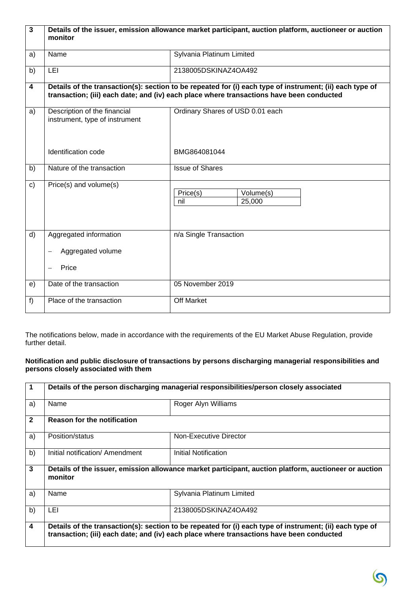| $\overline{\mathbf{3}}$ | Details of the issuer, emission allowance market participant, auction platform, auctioneer or auction<br>monitor |                                                                                                                                                                                                      |  |
|-------------------------|------------------------------------------------------------------------------------------------------------------|------------------------------------------------------------------------------------------------------------------------------------------------------------------------------------------------------|--|
| a)                      | Name                                                                                                             | Sylvania Platinum Limited                                                                                                                                                                            |  |
| b)                      | LEI                                                                                                              | 2138005DSKINAZ4OA492                                                                                                                                                                                 |  |
| 4                       |                                                                                                                  | Details of the transaction(s): section to be repeated for (i) each type of instrument; (ii) each type of<br>transaction; (iii) each date; and (iv) each place where transactions have been conducted |  |
| a)                      | Description of the financial<br>instrument, type of instrument                                                   | Ordinary Shares of USD 0.01 each                                                                                                                                                                     |  |
|                         | Identification code                                                                                              | BMG864081044                                                                                                                                                                                         |  |
| b)                      | Nature of the transaction                                                                                        | <b>Issue of Shares</b>                                                                                                                                                                               |  |
| c)                      | Price(s) and volume(s)                                                                                           | Price(s)<br>Volume(s)<br>nil<br>25,000                                                                                                                                                               |  |
| d)                      | Aggregated information<br>Aggregated volume                                                                      | n/a Single Transaction                                                                                                                                                                               |  |
|                         | Price                                                                                                            |                                                                                                                                                                                                      |  |
| e)                      | Date of the transaction                                                                                          | 05 November 2019                                                                                                                                                                                     |  |
| f)                      | Place of the transaction                                                                                         | Off Market                                                                                                                                                                                           |  |

The notifications below, made in accordance with the requirements of the EU Market Abuse Regulation, provide further detail.

## **Notification and public disclosure of transactions by persons discharging managerial responsibilities and persons closely associated with them**

| 1                       | Details of the person discharging managerial responsibilities/person closely associated |                                                                                                                                                                                                      |
|-------------------------|-----------------------------------------------------------------------------------------|------------------------------------------------------------------------------------------------------------------------------------------------------------------------------------------------------|
| a)                      | Name                                                                                    | Roger Alyn Williams                                                                                                                                                                                  |
| $\mathbf{2}$            | <b>Reason for the notification</b>                                                      |                                                                                                                                                                                                      |
| a)                      | Position/status                                                                         | Non-Executive Director                                                                                                                                                                               |
| b)                      | Initial notification/ Amendment                                                         | Initial Notification                                                                                                                                                                                 |
| $\mathbf{3}$            | monitor                                                                                 | Details of the issuer, emission allowance market participant, auction platform, auctioneer or auction                                                                                                |
| a)                      | Name                                                                                    | Sylvania Platinum Limited                                                                                                                                                                            |
| b)                      | LEI                                                                                     | 2138005DSKINAZ4OA492                                                                                                                                                                                 |
| $\overline{\mathbf{4}}$ |                                                                                         | Details of the transaction(s): section to be repeated for (i) each type of instrument; (ii) each type of<br>transaction; (iii) each date; and (iv) each place where transactions have been conducted |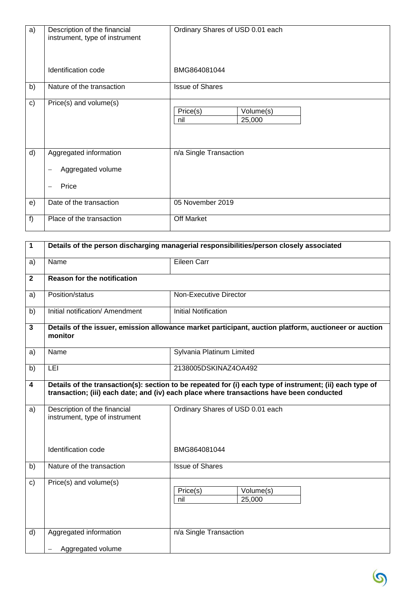| a)           | Description of the financial<br>instrument, type of instrument | Ordinary Shares of USD 0.01 each       |
|--------------|----------------------------------------------------------------|----------------------------------------|
|              | Identification code                                            | BMG864081044                           |
| b)           | Nature of the transaction                                      | <b>Issue of Shares</b>                 |
| $\mathsf{c}$ | Price(s) and volume(s)                                         | Price(s)<br>Volume(s)<br>25,000<br>nil |
| d)           | Aggregated information                                         | n/a Single Transaction                 |
|              | Aggregated volume<br>—                                         |                                        |
|              | Price<br>—                                                     |                                        |
| e)           | Date of the transaction                                        | 05 November 2019                       |
| f            | Place of the transaction                                       | <b>Off Market</b>                      |

| $\mathbf{1}$            | Details of the person discharging managerial responsibilities/person closely associated                          |                                                                                                                                                                                                      |  |
|-------------------------|------------------------------------------------------------------------------------------------------------------|------------------------------------------------------------------------------------------------------------------------------------------------------------------------------------------------------|--|
| a)                      | Name                                                                                                             | Eileen Carr                                                                                                                                                                                          |  |
| $\overline{2}$          | <b>Reason for the notification</b>                                                                               |                                                                                                                                                                                                      |  |
| a)                      | Position/status                                                                                                  | <b>Non-Executive Director</b>                                                                                                                                                                        |  |
| b)                      | Initial notification/ Amendment                                                                                  | <b>Initial Notification</b>                                                                                                                                                                          |  |
| $\mathbf{3}$            | Details of the issuer, emission allowance market participant, auction platform, auctioneer or auction<br>monitor |                                                                                                                                                                                                      |  |
| a)                      | Name                                                                                                             | Sylvania Platinum Limited                                                                                                                                                                            |  |
| b)                      | LEI                                                                                                              | 2138005DSKINAZ4OA492                                                                                                                                                                                 |  |
| $\overline{\mathbf{4}}$ |                                                                                                                  | Details of the transaction(s): section to be repeated for (i) each type of instrument; (ii) each type of<br>transaction; (iii) each date; and (iv) each place where transactions have been conducted |  |
| a)                      | Description of the financial<br>instrument, type of instrument                                                   | Ordinary Shares of USD 0.01 each                                                                                                                                                                     |  |
|                         | Identification code                                                                                              | BMG864081044                                                                                                                                                                                         |  |
| b)                      | Nature of the transaction                                                                                        | <b>Issue of Shares</b>                                                                                                                                                                               |  |
| $\mathbf{C}$            | Price(s) and volume(s)                                                                                           | Volume(s)<br>Price(s)<br>25,000<br>nil                                                                                                                                                               |  |
| d)                      | Aggregated information                                                                                           | n/a Single Transaction                                                                                                                                                                               |  |
|                         | Aggregated volume                                                                                                |                                                                                                                                                                                                      |  |